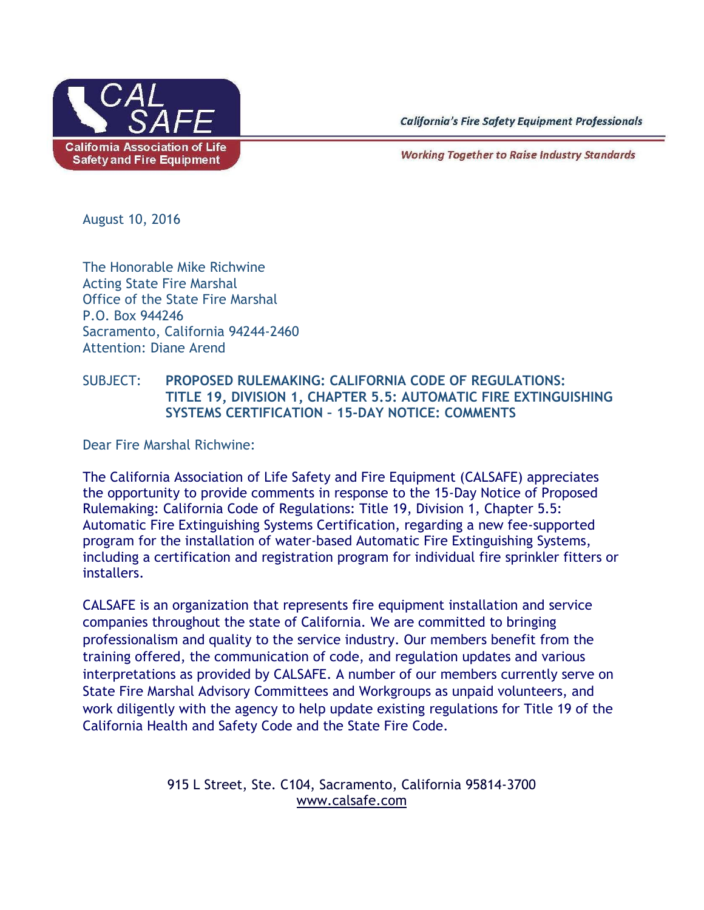

**California's Fire Safety Equipment Professionals** 

**Working Together to Raise Industry Standards** 

August 10, 2016

The Honorable Mike Richwine Acting State Fire Marshal Office of the State Fire Marshal P.O. Box 944246 Sacramento, California 94244-2460 Attention: Diane Arend

## SUBJECT: **PROPOSED RULEMAKING: CALIFORNIA CODE OF REGULATIONS: TITLE 19, DIVISION 1, CHAPTER 5.5: AUTOMATIC FIRE EXTINGUISHING SYSTEMS CERTIFICATION – 15-DAY NOTICE: COMMENTS**

Dear Fire Marshal Richwine:

The California Association of Life Safety and Fire Equipment (CALSAFE) appreciates the opportunity to provide comments in response to the 15-Day Notice of Proposed Rulemaking: California Code of Regulations: Title 19, Division 1, Chapter 5.5: Automatic Fire Extinguishing Systems Certification, regarding a new fee-supported program for the installation of water-based Automatic Fire Extinguishing Systems, including a certification and registration program for individual fire sprinkler fitters or installers.

CALSAFE is an organization that represents fire equipment installation and service companies throughout the state of California. We are committed to bringing professionalism and quality to the service industry. Our members benefit from the training offered, the communication of code, and regulation updates and various interpretations as provided by CALSAFE. A number of our members currently serve on State Fire Marshal Advisory Committees and Workgroups as unpaid volunteers, and work diligently with the agency to help update existing regulations for Title 19 of the California Health and Safety Code and the State Fire Code.

> 915 L Street, Ste. C104, Sacramento, California 95814-3700 [www.calsafe.com](http://www.calsafe.com/)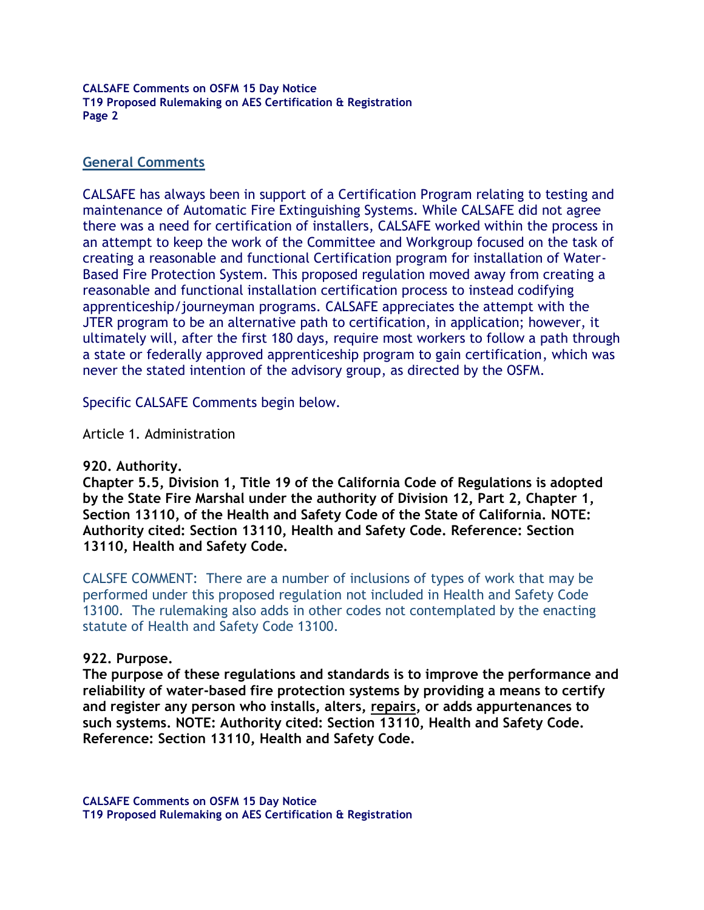#### **General Comments**

CALSAFE has always been in support of a Certification Program relating to testing and maintenance of Automatic Fire Extinguishing Systems. While CALSAFE did not agree there was a need for certification of installers, CALSAFE worked within the process in an attempt to keep the work of the Committee and Workgroup focused on the task of creating a reasonable and functional Certification program for installation of Water-Based Fire Protection System. This proposed regulation moved away from creating a reasonable and functional installation certification process to instead codifying apprenticeship/journeyman programs. CALSAFE appreciates the attempt with the JTER program to be an alternative path to certification, in application; however, it ultimately will, after the first 180 days, require most workers to follow a path through a state or federally approved apprenticeship program to gain certification, which was never the stated intention of the advisory group, as directed by the OSFM.

Specific CALSAFE Comments begin below.

Article 1. Administration

#### **920. Authority.**

**Chapter 5.5, Division 1, Title 19 of the California Code of Regulations is adopted by the State Fire Marshal under the authority of Division 12, Part 2, Chapter 1, Section 13110, of the Health and Safety Code of the State of California. NOTE: Authority cited: Section 13110, Health and Safety Code. Reference: Section 13110, Health and Safety Code.**

CALSFE COMMENT: There are a number of inclusions of types of work that may be performed under this proposed regulation not included in Health and Safety Code 13100. The rulemaking also adds in other codes not contemplated by the enacting statute of Health and Safety Code 13100.

#### **922. Purpose.**

**The purpose of these regulations and standards is to improve the performance and reliability of water-based fire protection systems by providing a means to certify and register any person who installs, alters, repairs, or adds appurtenances to such systems. NOTE: Authority cited: Section 13110, Health and Safety Code. Reference: Section 13110, Health and Safety Code.**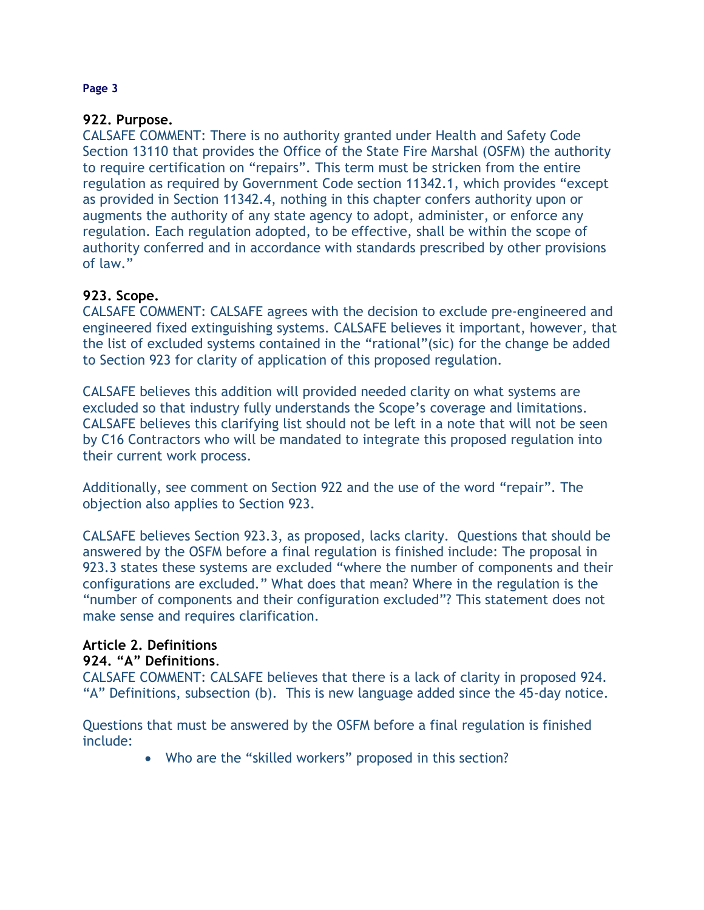## **922. Purpose.**

CALSAFE COMMENT: There is no authority granted under Health and Safety Code Section 13110 that provides the Office of the State Fire Marshal (OSFM) the authority to require certification on "repairs". This term must be stricken from the entire regulation as required by Government Code section 11342.1, which provides "except as provided in Section 11342.4, nothing in this chapter confers authority upon or augments the authority of any state agency to adopt, administer, or enforce any regulation. Each regulation adopted, to be effective, shall be within the scope of authority conferred and in accordance with standards prescribed by other provisions of law."

## **923. Scope.**

CALSAFE COMMENT: CALSAFE agrees with the decision to exclude pre-engineered and engineered fixed extinguishing systems. CALSAFE believes it important, however, that the list of excluded systems contained in the "rational"(sic) for the change be added to Section 923 for clarity of application of this proposed regulation.

CALSAFE believes this addition will provided needed clarity on what systems are excluded so that industry fully understands the Scope's coverage and limitations. CALSAFE believes this clarifying list should not be left in a note that will not be seen by C16 Contractors who will be mandated to integrate this proposed regulation into their current work process.

Additionally, see comment on Section 922 and the use of the word "repair". The objection also applies to Section 923.

CALSAFE believes Section 923.3, as proposed, lacks clarity. Questions that should be answered by the OSFM before a final regulation is finished include: The proposal in 923.3 states these systems are excluded "where the number of components and their configurations are excluded." What does that mean? Where in the regulation is the "number of components and their configuration excluded"? This statement does not make sense and requires clarification.

## **Article 2. Definitions**

### **924. "A" Definitions**.

CALSAFE COMMENT: CALSAFE believes that there is a lack of clarity in proposed 924. "A" Definitions, subsection (b). This is new language added since the 45-day notice.

Questions that must be answered by the OSFM before a final regulation is finished include:

Who are the "skilled workers" proposed in this section?

#### **Page 3**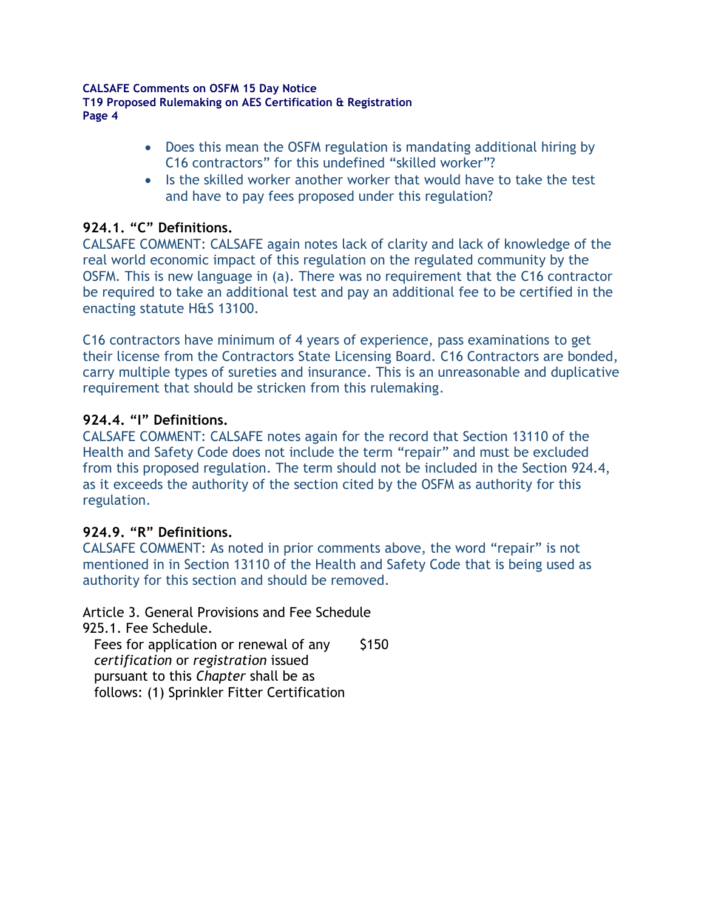- Does this mean the OSFM regulation is mandating additional hiring by C16 contractors" for this undefined "skilled worker"?
- Is the skilled worker another worker that would have to take the test and have to pay fees proposed under this regulation?

## **924.1. "C" Definitions.**

CALSAFE COMMENT: CALSAFE again notes lack of clarity and lack of knowledge of the real world economic impact of this regulation on the regulated community by the OSFM. This is new language in (a). There was no requirement that the C16 contractor be required to take an additional test and pay an additional fee to be certified in the enacting statute H&S 13100.

C16 contractors have minimum of 4 years of experience, pass examinations to get their license from the Contractors State Licensing Board. C16 Contractors are bonded, carry multiple types of sureties and insurance. This is an unreasonable and duplicative requirement that should be stricken from this rulemaking.

## **924.4. "I" Definitions.**

CALSAFE COMMENT: CALSAFE notes again for the record that Section 13110 of the Health and Safety Code does not include the term "repair" and must be excluded from this proposed regulation. The term should not be included in the Section 924.4, as it exceeds the authority of the section cited by the OSFM as authority for this regulation.

## **924.9. "R" Definitions.**

CALSAFE COMMENT: As noted in prior comments above, the word "repair" is not mentioned in in Section 13110 of the Health and Safety Code that is being used as authority for this section and should be removed.

Article 3. General Provisions and Fee Schedule 925.1. Fee Schedule.

Fees for application or renewal of any *certification* or *registration* issued pursuant to this *Chapter* shall be as follows: (1) Sprinkler Fitter Certification \$150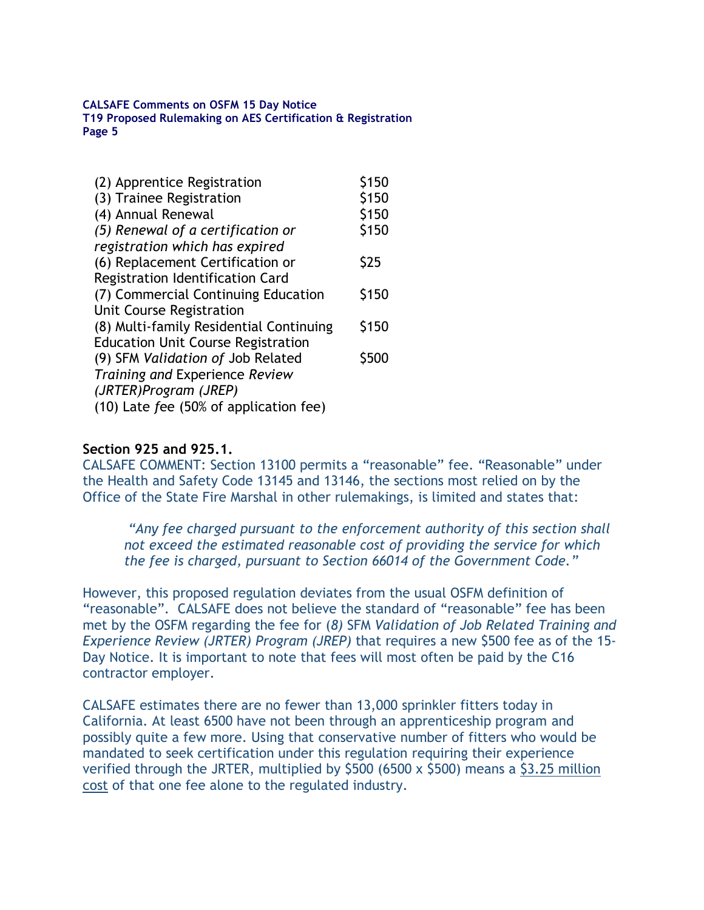| (2) Apprentice Registration               | \$150       |
|-------------------------------------------|-------------|
| (3) Trainee Registration                  | \$150       |
| (4) Annual Renewal                        | \$150       |
| (5) Renewal of a certification or         | \$150       |
| registration which has expired            |             |
| (6) Replacement Certification or          | \$25        |
| Registration Identification Card          |             |
| (7) Commercial Continuing Education       | \$150       |
| Unit Course Registration                  |             |
| (8) Multi-family Residential Continuing   | \$150       |
| <b>Education Unit Course Registration</b> |             |
| (9) SFM Validation of Job Related         | <b>S500</b> |
| Training and Experience Review            |             |
| (JRTER)Program (JREP)                     |             |
| (10) Late fee (50% of application fee)    |             |

#### **Section 925 and 925.1.**

CALSAFE COMMENT: Section 13100 permits a "reasonable" fee. "Reasonable" under the Health and Safety Code 13145 and 13146, the sections most relied on by the Office of the State Fire Marshal in other rulemakings, is limited and states that:

*"Any fee charged pursuant to the enforcement authority of this section shall not exceed the estimated reasonable cost of providing the service for which the fee is charged, pursuant to Section 66014 of the Government Code."*

However, this proposed regulation deviates from the usual OSFM definition of "reasonable". CALSAFE does not believe the standard of "reasonable" fee has been met by the OSFM regarding the fee for (*8)* SFM *Validation of Job Related Training and Experience Review (JRTER) Program (JREP)* that requires a new \$500 fee as of the 15- Day Notice. It is important to note that fees will most often be paid by the C16 contractor employer.

CALSAFE estimates there are no fewer than 13,000 sprinkler fitters today in California. At least 6500 have not been through an apprenticeship program and possibly quite a few more. Using that conservative number of fitters who would be mandated to seek certification under this regulation requiring their experience verified through the JRTER, multiplied by \$500 (6500 x \$500) means a \$3.25 million cost of that one fee alone to the regulated industry.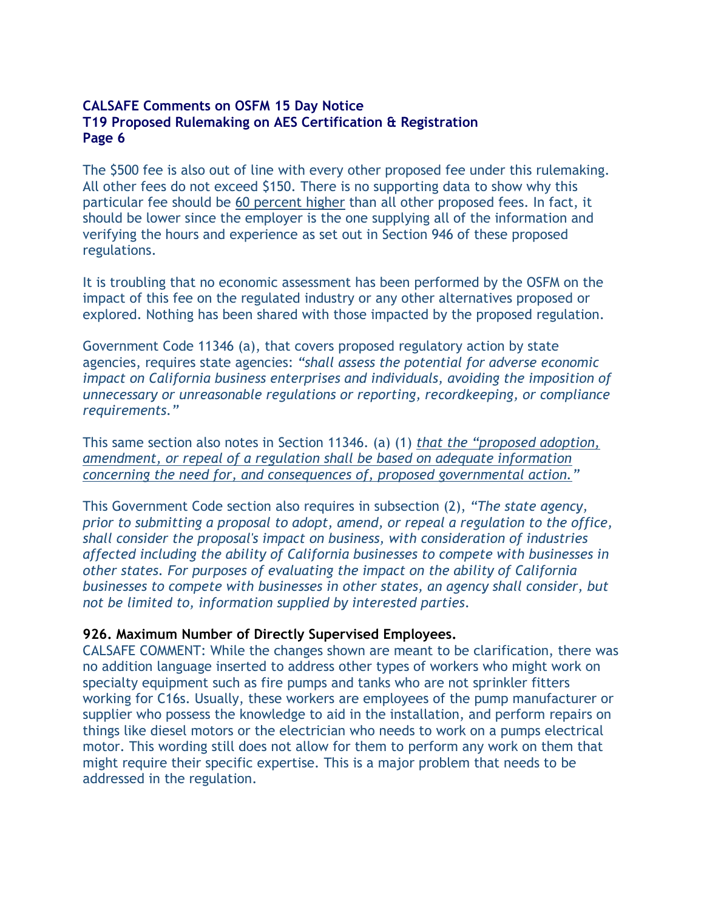The \$500 fee is also out of line with every other proposed fee under this rulemaking. All other fees do not exceed \$150. There is no supporting data to show why this particular fee should be 60 percent higher than all other proposed fees. In fact, it should be lower since the employer is the one supplying all of the information and verifying the hours and experience as set out in Section 946 of these proposed regulations.

It is troubling that no economic assessment has been performed by the OSFM on the impact of this fee on the regulated industry or any other alternatives proposed or explored. Nothing has been shared with those impacted by the proposed regulation.

Government Code 11346 (a), that covers proposed regulatory action by state agencies, requires state agencies: *"shall assess the potential for adverse economic impact on California business enterprises and individuals, avoiding the imposition of unnecessary or unreasonable regulations or reporting, recordkeeping, or compliance requirements."* 

This same section also notes in Section 11346. (a) (1) *that the "proposed adoption, amendment, or repeal of a regulation shall be based on adequate information concerning the need for, and consequences of, proposed governmental action."* 

This Government Code section also requires in subsection (2), *"The state agency, prior to submitting a proposal to adopt, amend, or repeal a regulation to the office, shall consider the proposal's impact on business, with consideration of industries affected including the ability of California businesses to compete with businesses in other states. For purposes of evaluating the impact on the ability of California businesses to compete with businesses in other states, an agency shall consider, but not be limited to, information supplied by interested parties*.

### **926. Maximum Number of Directly Supervised Employees.**

CALSAFE COMMENT: While the changes shown are meant to be clarification, there was no addition language inserted to address other types of workers who might work on specialty equipment such as fire pumps and tanks who are not sprinkler fitters working for C16s. Usually, these workers are employees of the pump manufacturer or supplier who possess the knowledge to aid in the installation, and perform repairs on things like diesel motors or the electrician who needs to work on a pumps electrical motor. This wording still does not allow for them to perform any work on them that might require their specific expertise. This is a major problem that needs to be addressed in the regulation.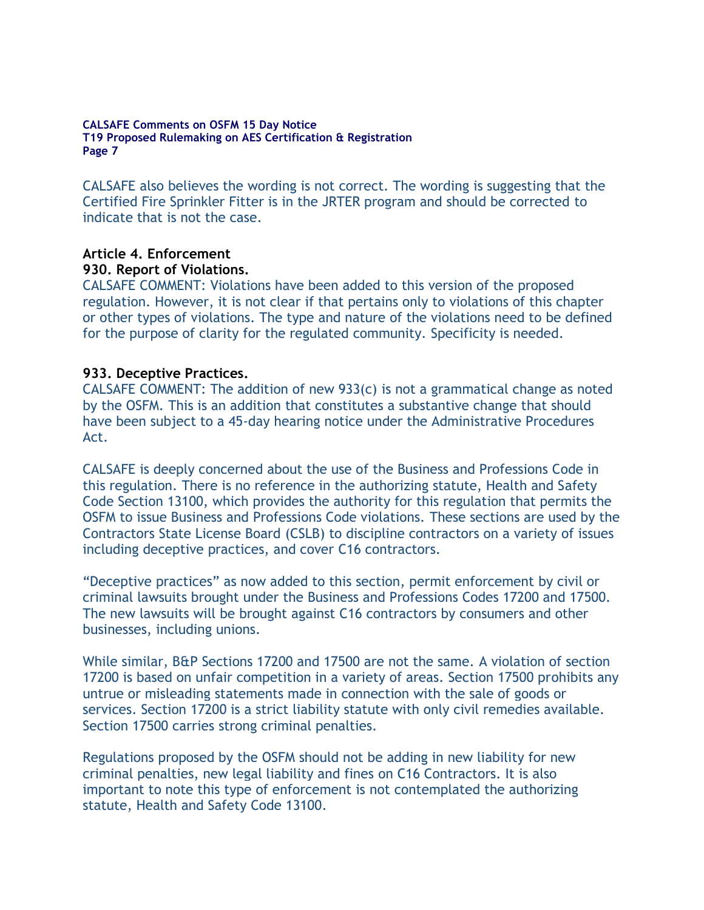CALSAFE also believes the wording is not correct. The wording is suggesting that the Certified Fire Sprinkler Fitter is in the JRTER program and should be corrected to indicate that is not the case.

# **Article 4. Enforcement 930. Report of Violations.**

CALSAFE COMMENT: Violations have been added to this version of the proposed regulation. However, it is not clear if that pertains only to violations of this chapter or other types of violations. The type and nature of the violations need to be defined for the purpose of clarity for the regulated community. Specificity is needed.

## **933. Deceptive Practices.**

CALSAFE COMMENT: The addition of new 933(c) is not a grammatical change as noted by the OSFM. This is an addition that constitutes a substantive change that should have been subject to a 45-day hearing notice under the Administrative Procedures Act.

CALSAFE is deeply concerned about the use of the Business and Professions Code in this regulation. There is no reference in the authorizing statute, Health and Safety Code Section 13100, which provides the authority for this regulation that permits the OSFM to issue Business and Professions Code violations. These sections are used by the Contractors State License Board (CSLB) to discipline contractors on a variety of issues including deceptive practices, and cover C16 contractors.

"Deceptive practices" as now added to this section, permit enforcement by civil or criminal lawsuits brought under the Business and Professions Codes 17200 and 17500. The new lawsuits will be brought against C16 contractors by consumers and other businesses, including unions.

While similar, B&P Sections 17200 and 17500 are not the same. A violation of section 17200 is based on unfair competition in a variety of areas. Section 17500 prohibits any untrue or misleading statements made in connection with the sale of goods or services. Section 17200 is a strict liability statute with only civil remedies available. Section 17500 carries strong criminal penalties.

Regulations proposed by the OSFM should not be adding in new liability for new criminal penalties, new legal liability and fines on C16 Contractors. It is also important to note this type of enforcement is not contemplated the authorizing statute, Health and Safety Code 13100.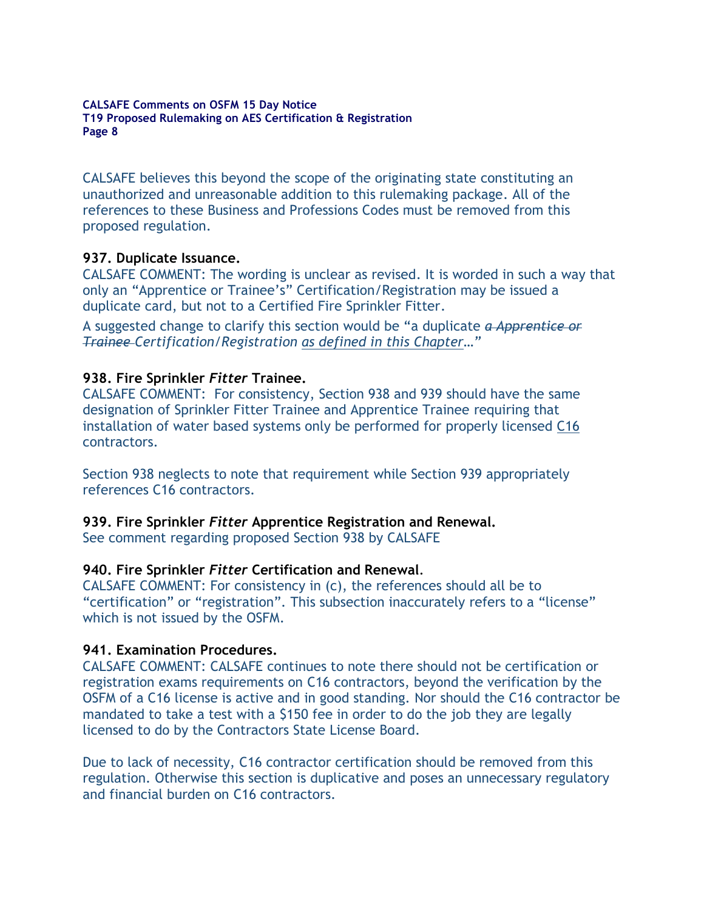CALSAFE believes this beyond the scope of the originating state constituting an unauthorized and unreasonable addition to this rulemaking package. All of the references to these Business and Professions Codes must be removed from this proposed regulation.

#### **937. Duplicate Issuance.**

CALSAFE COMMENT: The wording is unclear as revised. It is worded in such a way that only an "Apprentice or Trainee's" Certification/Registration may be issued a duplicate card, but not to a Certified Fire Sprinkler Fitter.

A suggested change to clarify this section would be "a duplicate *a Apprentice or Trainee Certification/Registration as defined in this Chapter…"*

#### **938. Fire Sprinkler** *Fitter* **Trainee.**

CALSAFE COMMENT: For consistency, Section 938 and 939 should have the same designation of Sprinkler Fitter Trainee and Apprentice Trainee requiring that installation of water based systems only be performed for properly licensed C16 contractors.

Section 938 neglects to note that requirement while Section 939 appropriately references C16 contractors.

#### **939. Fire Sprinkler** *Fitter* **Apprentice Registration and Renewal.**

See comment regarding proposed Section 938 by CALSAFE

#### **940. Fire Sprinkler** *Fitter* **Certification and Renewal**.

CALSAFE COMMENT: For consistency in (c), the references should all be to "certification" or "registration". This subsection inaccurately refers to a "license" which is not issued by the OSFM.

#### **941. Examination Procedures.**

CALSAFE COMMENT: CALSAFE continues to note there should not be certification or registration exams requirements on C16 contractors, beyond the verification by the OSFM of a C16 license is active and in good standing. Nor should the C16 contractor be mandated to take a test with a \$150 fee in order to do the job they are legally licensed to do by the Contractors State License Board.

Due to lack of necessity, C16 contractor certification should be removed from this regulation. Otherwise this section is duplicative and poses an unnecessary regulatory and financial burden on C16 contractors.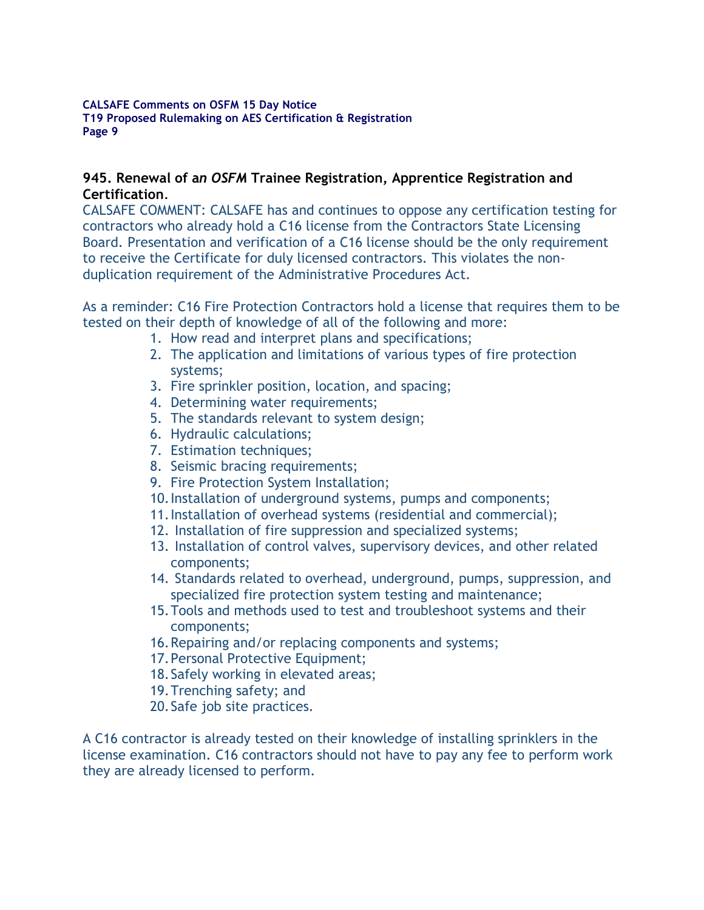### **945. Renewal of a***n OSFM* **Trainee Registration, Apprentice Registration and Certification**.

CALSAFE COMMENT: CALSAFE has and continues to oppose any certification testing for contractors who already hold a C16 license from the Contractors State Licensing Board. Presentation and verification of a C16 license should be the only requirement to receive the Certificate for duly licensed contractors. This violates the nonduplication requirement of the Administrative Procedures Act.

As a reminder: C16 Fire Protection Contractors hold a license that requires them to be tested on their depth of knowledge of all of the following and more:

- 1. How read and interpret plans and specifications;
- 2. The application and limitations of various types of fire protection systems;
- 3. Fire sprinkler position, location, and spacing;
- 4. Determining water requirements;
- 5. The standards relevant to system design;
- 6. Hydraulic calculations;
- 7. Estimation techniques;
- 8. Seismic bracing requirements;
- 9. Fire Protection System Installation;
- 10.Installation of underground systems, pumps and components;
- 11.Installation of overhead systems (residential and commercial);
- 12. Installation of fire suppression and specialized systems;
- 13. Installation of control valves, supervisory devices, and other related components;
- 14. Standards related to overhead, underground, pumps, suppression, and specialized fire protection system testing and maintenance;
- 15.Tools and methods used to test and troubleshoot systems and their components;
- 16.Repairing and/or replacing components and systems;
- 17. Personal Protective Equipment:
- 18.Safely working in elevated areas;
- 19.Trenching safety; and
- 20.Safe job site practices.

A C16 contractor is already tested on their knowledge of installing sprinklers in the license examination. C16 contractors should not have to pay any fee to perform work they are already licensed to perform.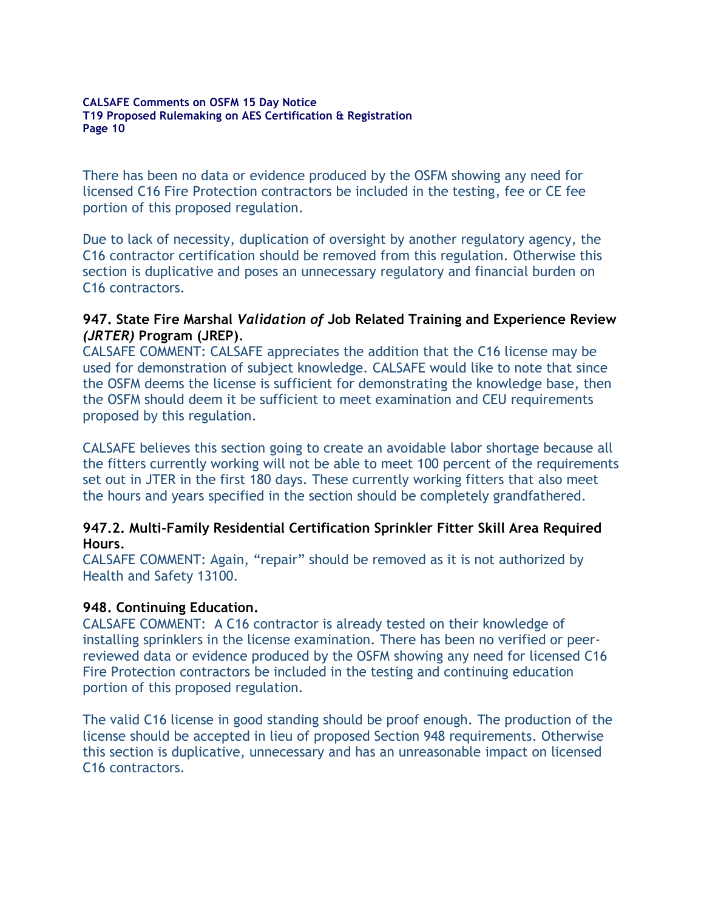There has been no data or evidence produced by the OSFM showing any need for licensed C16 Fire Protection contractors be included in the testing, fee or CE fee portion of this proposed regulation.

Due to lack of necessity, duplication of oversight by another regulatory agency, the C16 contractor certification should be removed from this regulation. Otherwise this section is duplicative and poses an unnecessary regulatory and financial burden on C16 contractors.

#### **947. State Fire Marshal** *Validation of* **Job Related Training and Experience Review**  *(JRTER)* **Program (JREP)***.*

CALSAFE COMMENT: CALSAFE appreciates the addition that the C16 license may be used for demonstration of subject knowledge. CALSAFE would like to note that since the OSFM deems the license is sufficient for demonstrating the knowledge base, then the OSFM should deem it be sufficient to meet examination and CEU requirements proposed by this regulation.

CALSAFE believes this section going to create an avoidable labor shortage because all the fitters currently working will not be able to meet 100 percent of the requirements set out in JTER in the first 180 days. These currently working fitters that also meet the hours and years specified in the section should be completely grandfathered.

### **947.2. Multi-Family Residential Certification Sprinkler Fitter Skill Area Required Hours***.*

CALSAFE COMMENT: Again, "repair" should be removed as it is not authorized by Health and Safety 13100.

### **948. Continuing Education.**

CALSAFE COMMENT: A C16 contractor is already tested on their knowledge of installing sprinklers in the license examination. There has been no verified or peerreviewed data or evidence produced by the OSFM showing any need for licensed C16 Fire Protection contractors be included in the testing and continuing education portion of this proposed regulation.

The valid C16 license in good standing should be proof enough. The production of the license should be accepted in lieu of proposed Section 948 requirements. Otherwise this section is duplicative, unnecessary and has an unreasonable impact on licensed C16 contractors.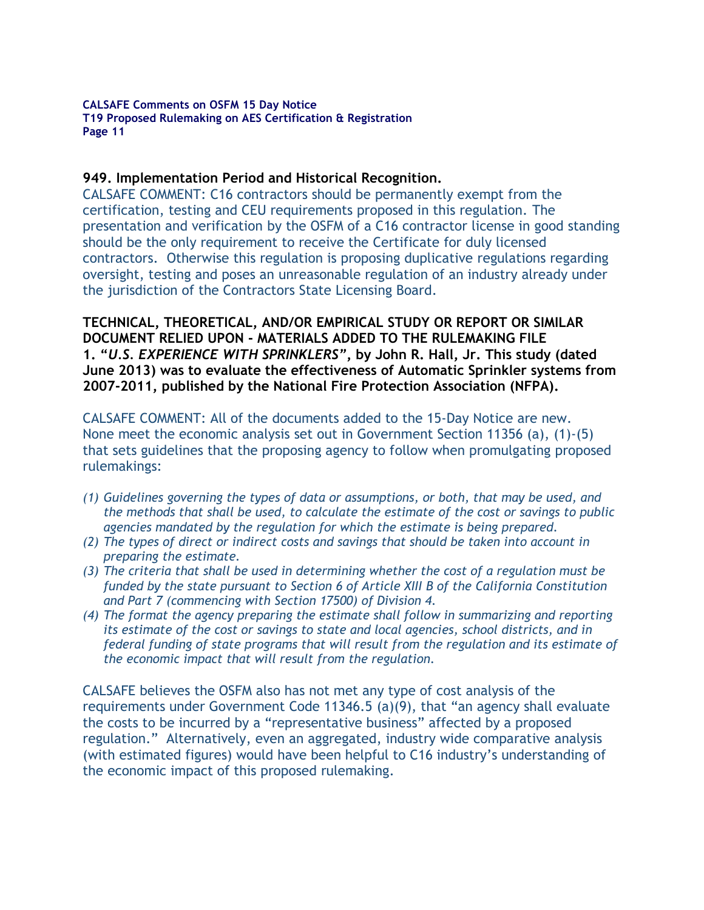### **949. Implementation Period and Historical Recognition.**

CALSAFE COMMENT: C16 contractors should be permanently exempt from the certification, testing and CEU requirements proposed in this regulation. The presentation and verification by the OSFM of a C16 contractor license in good standing should be the only requirement to receive the Certificate for duly licensed contractors. Otherwise this regulation is proposing duplicative regulations regarding oversight, testing and poses an unreasonable regulation of an industry already under the jurisdiction of the Contractors State Licensing Board.

**TECHNICAL, THEORETICAL, AND/OR EMPIRICAL STUDY OR REPORT OR SIMILAR DOCUMENT RELIED UPON - MATERIALS ADDED TO THE RULEMAKING FILE 1. "***U.S. EXPERIENCE WITH SPRINKLERS"***, by John R. Hall, Jr. This study (dated June 2013) was to evaluate the effectiveness of Automatic Sprinkler systems from 2007-2011, published by the National Fire Protection Association (NFPA).** 

CALSAFE COMMENT: All of the documents added to the 15-Day Notice are new. None meet the economic analysis set out in Government Section 11356 (a), (1)-(5) that sets guidelines that the proposing agency to follow when promulgating proposed rulemakings:

- *(1) Guidelines governing the types of data or assumptions, or both, that may be used, and the methods that shall be used, to calculate the estimate of the cost or savings to public agencies mandated by the regulation for which the estimate is being prepared.*
- *(2) The types of direct or indirect costs and savings that should be taken into account in preparing the estimate.*
- *(3) The criteria that shall be used in determining whether the cost of a regulation must be funded by the state pursuant to Section 6 of Article XIII B of the California Constitution and Part 7 (commencing with Section 17500) of Division 4.*
- *(4) The format the agency preparing the estimate shall follow in summarizing and reporting its estimate of the cost or savings to state and local agencies, school districts, and in federal funding of state programs that will result from the regulation and its estimate of the economic impact that will result from the regulation.*

CALSAFE believes the OSFM also has not met any type of cost analysis of the requirements under Government Code 11346.5 (a)(9), that "an agency shall evaluate the costs to be incurred by a "representative business" affected by a proposed regulation." Alternatively, even an aggregated, industry wide comparative analysis (with estimated figures) would have been helpful to C16 industry's understanding of the economic impact of this proposed rulemaking.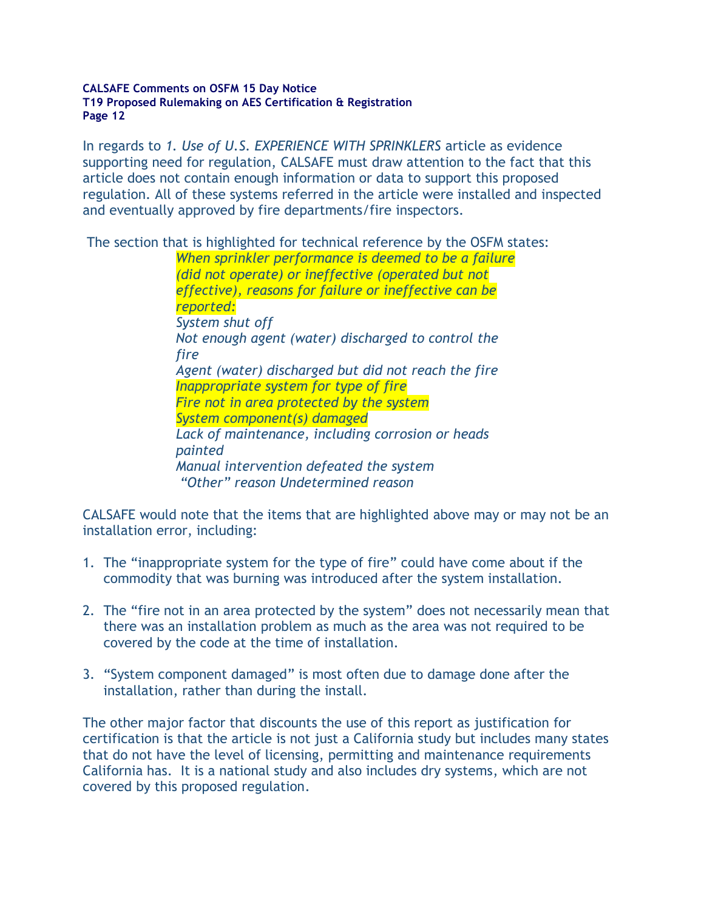In regards to *1. Use of U.S. EXPERIENCE WITH SPRINKLERS* article as evidence supporting need for regulation, CALSAFE must draw attention to the fact that this article does not contain enough information or data to support this proposed regulation. All of these systems referred in the article were installed and inspected and eventually approved by fire departments/fire inspectors.

The section that is highlighted for technical reference by the OSFM states:

*When sprinkler performance is deemed to be a failure (did not operate) or ineffective (operated but not effective), reasons for failure or ineffective can be reported: System shut off Not enough agent (water) discharged to control the fire Agent (water) discharged but did not reach the fire Inappropriate system for type of fire Fire not in area protected by the system System component(s) damaged Lack of maintenance, including corrosion or heads painted Manual intervention defeated the system "Other" reason Undetermined reason*

CALSAFE would note that the items that are highlighted above may or may not be an installation error, including:

- 1. The "inappropriate system for the type of fire" could have come about if the commodity that was burning was introduced after the system installation.
- 2. The "fire not in an area protected by the system" does not necessarily mean that there was an installation problem as much as the area was not required to be covered by the code at the time of installation.
- 3. "System component damaged" is most often due to damage done after the installation, rather than during the install.

The other major factor that discounts the use of this report as justification for certification is that the article is not just a California study but includes many states that do not have the level of licensing, permitting and maintenance requirements California has. It is a national study and also includes dry systems, which are not covered by this proposed regulation.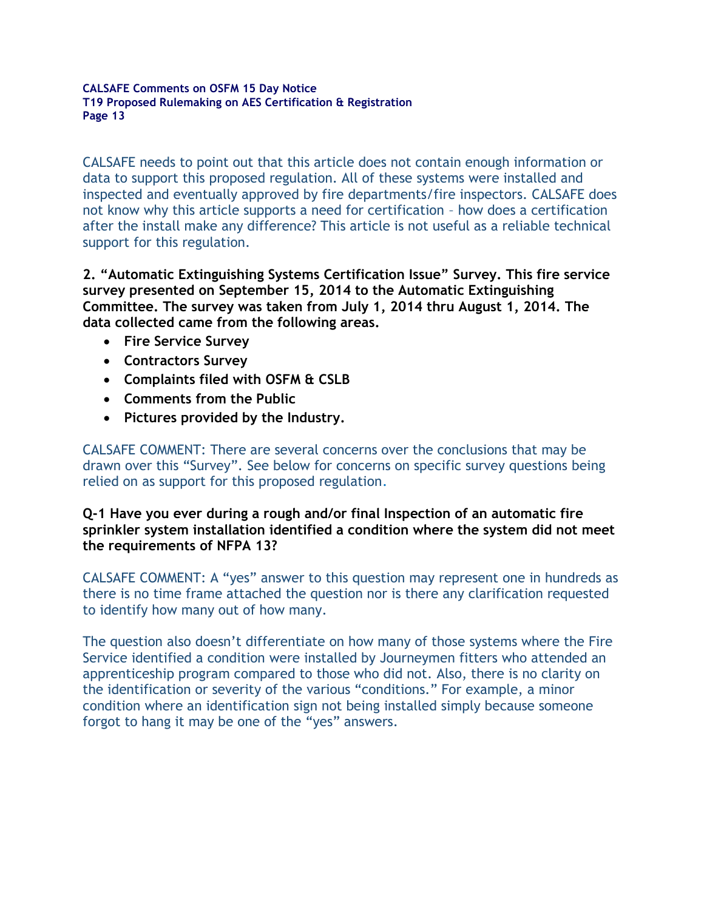CALSAFE needs to point out that this article does not contain enough information or data to support this proposed regulation. All of these systems were installed and inspected and eventually approved by fire departments/fire inspectors. CALSAFE does not know why this article supports a need for certification – how does a certification after the install make any difference? This article is not useful as a reliable technical support for this regulation.

**2. "Automatic Extinguishing Systems Certification Issue" Survey. This fire service survey presented on September 15, 2014 to the Automatic Extinguishing Committee. The survey was taken from July 1, 2014 thru August 1, 2014. The data collected came from the following areas.** 

- **Fire Service Survey**
- **Contractors Survey**
- **Complaints filed with OSFM & CSLB**
- **Comments from the Public**
- **Pictures provided by the Industry.**

CALSAFE COMMENT: There are several concerns over the conclusions that may be drawn over this "Survey". See below for concerns on specific survey questions being relied on as support for this proposed regulation.

**Q-1 Have you ever during a rough and/or final Inspection of an automatic fire sprinkler system installation identified a condition where the system did not meet the requirements of NFPA 13?**

CALSAFE COMMENT: A "yes" answer to this question may represent one in hundreds as there is no time frame attached the question nor is there any clarification requested to identify how many out of how many.

The question also doesn't differentiate on how many of those systems where the Fire Service identified a condition were installed by Journeymen fitters who attended an apprenticeship program compared to those who did not. Also, there is no clarity on the identification or severity of the various "conditions." For example, a minor condition where an identification sign not being installed simply because someone forgot to hang it may be one of the "yes" answers.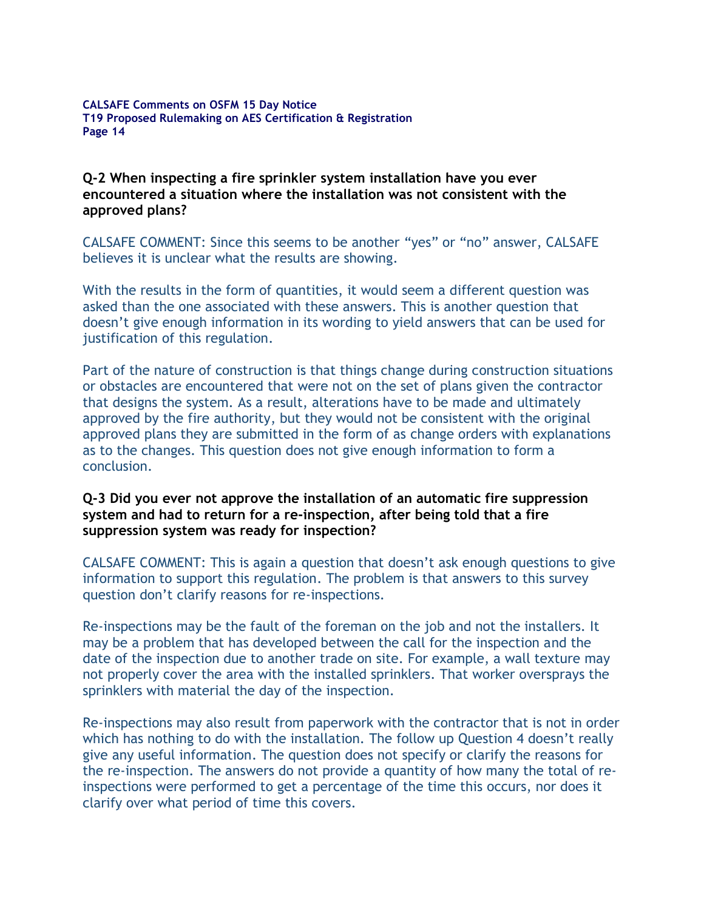#### **Q-2 When inspecting a fire sprinkler system installation have you ever encountered a situation where the installation was not consistent with the approved plans?**

CALSAFE COMMENT: Since this seems to be another "yes" or "no" answer, CALSAFE believes it is unclear what the results are showing.

With the results in the form of quantities, it would seem a different question was asked than the one associated with these answers. This is another question that doesn't give enough information in its wording to yield answers that can be used for justification of this regulation.

Part of the nature of construction is that things change during construction situations or obstacles are encountered that were not on the set of plans given the contractor that designs the system. As a result, alterations have to be made and ultimately approved by the fire authority, but they would not be consistent with the original approved plans they are submitted in the form of as change orders with explanations as to the changes. This question does not give enough information to form a conclusion.

#### **Q-3 Did you ever not approve the installation of an automatic fire suppression system and had to return for a re-inspection, after being told that a fire suppression system was ready for inspection?**

CALSAFE COMMENT: This is again a question that doesn't ask enough questions to give information to support this regulation. The problem is that answers to this survey question don't clarify reasons for re-inspections.

Re-inspections may be the fault of the foreman on the job and not the installers. It may be a problem that has developed between the call for the inspection and the date of the inspection due to another trade on site. For example, a wall texture may not properly cover the area with the installed sprinklers. That worker oversprays the sprinklers with material the day of the inspection.

Re-inspections may also result from paperwork with the contractor that is not in order which has nothing to do with the installation. The follow up Question 4 doesn't really give any useful information. The question does not specify or clarify the reasons for the re-inspection. The answers do not provide a quantity of how many the total of reinspections were performed to get a percentage of the time this occurs, nor does it clarify over what period of time this covers.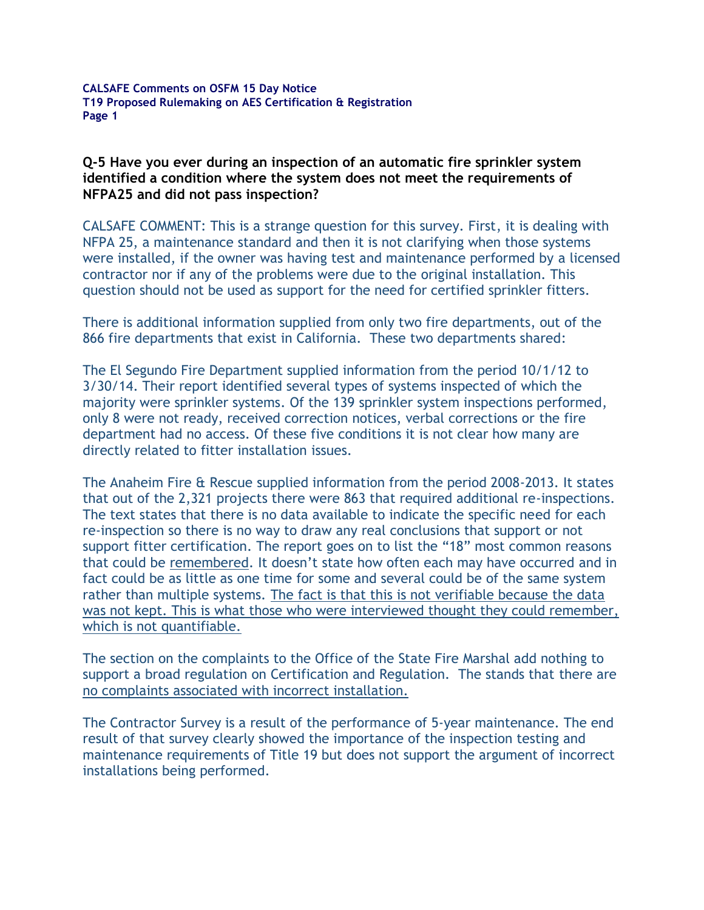**Q-5 Have you ever during an inspection of an automatic fire sprinkler system identified a condition where the system does not meet the requirements of NFPA25 and did not pass inspection?**

CALSAFE COMMENT: This is a strange question for this survey. First, it is dealing with NFPA 25, a maintenance standard and then it is not clarifying when those systems were installed, if the owner was having test and maintenance performed by a licensed contractor nor if any of the problems were due to the original installation. This question should not be used as support for the need for certified sprinkler fitters.

There is additional information supplied from only two fire departments, out of the 866 fire departments that exist in California. These two departments shared:

The El Segundo Fire Department supplied information from the period 10/1/12 to 3/30/14. Their report identified several types of systems inspected of which the majority were sprinkler systems. Of the 139 sprinkler system inspections performed, only 8 were not ready, received correction notices, verbal corrections or the fire department had no access. Of these five conditions it is not clear how many are directly related to fitter installation issues.

The Anaheim Fire & Rescue supplied information from the period 2008-2013. It states that out of the 2,321 projects there were 863 that required additional re-inspections. The text states that there is no data available to indicate the specific need for each re-inspection so there is no way to draw any real conclusions that support or not support fitter certification. The report goes on to list the "18" most common reasons that could be remembered. It doesn't state how often each may have occurred and in fact could be as little as one time for some and several could be of the same system rather than multiple systems. The fact is that this is not verifiable because the data was not kept. This is what those who were interviewed thought they could remember, which is not quantifiable.

The section on the complaints to the Office of the State Fire Marshal add nothing to support a broad regulation on Certification and Regulation. The stands that there are no complaints associated with incorrect installation.

The Contractor Survey is a result of the performance of 5-year maintenance. The end result of that survey clearly showed the importance of the inspection testing and maintenance requirements of Title 19 but does not support the argument of incorrect installations being performed.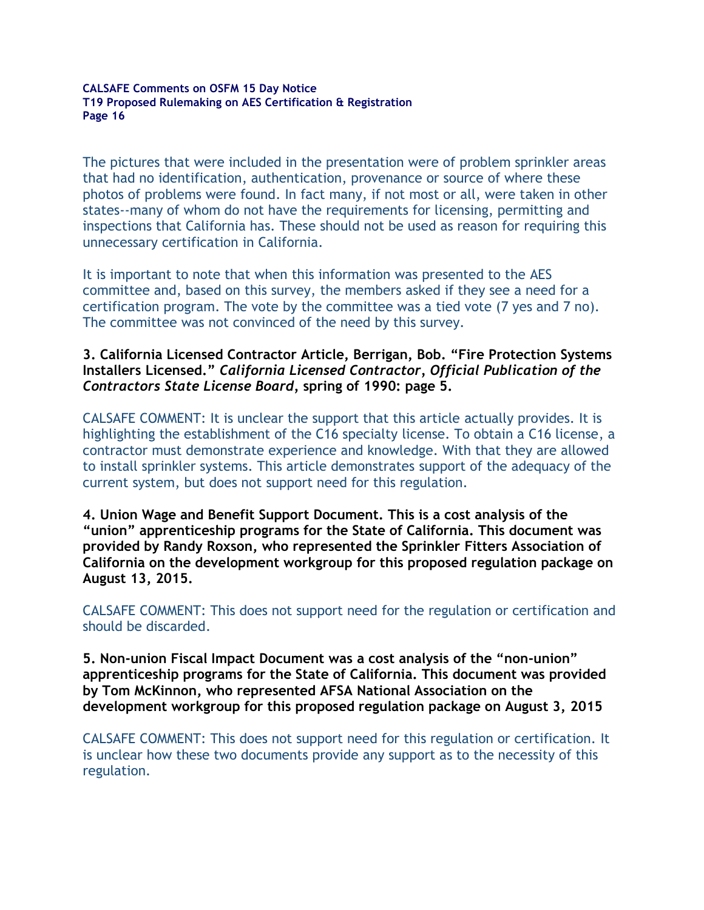The pictures that were included in the presentation were of problem sprinkler areas that had no identification, authentication, provenance or source of where these photos of problems were found. In fact many, if not most or all, were taken in other states--many of whom do not have the requirements for licensing, permitting and inspections that California has. These should not be used as reason for requiring this unnecessary certification in California.

It is important to note that when this information was presented to the AES committee and, based on this survey, the members asked if they see a need for a certification program. The vote by the committee was a tied vote (7 yes and 7 no). The committee was not convinced of the need by this survey.

### **3. California Licensed Contractor Article, Berrigan, Bob. "Fire Protection Systems Installers Licensed."** *California Licensed Contractor, Official Publication of the Contractors State License Board,* **spring of 1990: page 5.**

CALSAFE COMMENT: It is unclear the support that this article actually provides. It is highlighting the establishment of the C16 specialty license. To obtain a C16 license, a contractor must demonstrate experience and knowledge. With that they are allowed to install sprinkler systems. This article demonstrates support of the adequacy of the current system, but does not support need for this regulation.

**4. Union Wage and Benefit Support Document. This is a cost analysis of the "union" apprenticeship programs for the State of California. This document was provided by Randy Roxson, who represented the Sprinkler Fitters Association of California on the development workgroup for this proposed regulation package on August 13, 2015.**

CALSAFE COMMENT: This does not support need for the regulation or certification and should be discarded.

**5. Non-union Fiscal Impact Document was a cost analysis of the "non-union" apprenticeship programs for the State of California. This document was provided by Tom McKinnon, who represented AFSA National Association on the development workgroup for this proposed regulation package on August 3, 2015**

CALSAFE COMMENT: This does not support need for this regulation or certification. It is unclear how these two documents provide any support as to the necessity of this regulation.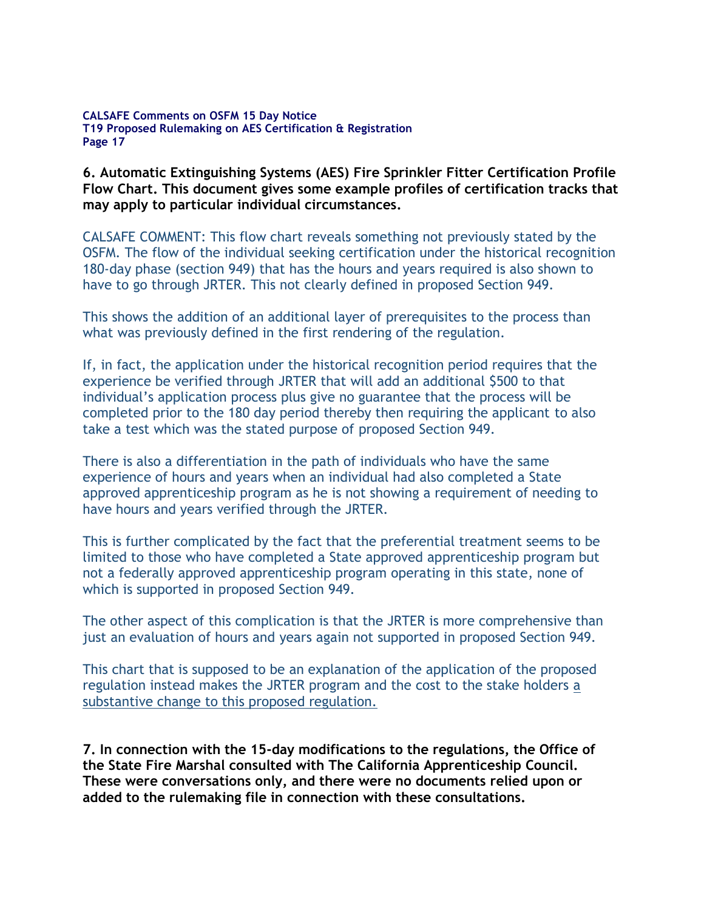**6. Automatic Extinguishing Systems (AES) Fire Sprinkler Fitter Certification Profile Flow Chart. This document gives some example profiles of certification tracks that may apply to particular individual circumstances.** 

CALSAFE COMMENT: This flow chart reveals something not previously stated by the OSFM. The flow of the individual seeking certification under the historical recognition 180-day phase (section 949) that has the hours and years required is also shown to have to go through JRTER. This not clearly defined in proposed Section 949.

This shows the addition of an additional layer of prerequisites to the process than what was previously defined in the first rendering of the regulation.

If, in fact, the application under the historical recognition period requires that the experience be verified through JRTER that will add an additional \$500 to that individual's application process plus give no guarantee that the process will be completed prior to the 180 day period thereby then requiring the applicant to also take a test which was the stated purpose of proposed Section 949.

There is also a differentiation in the path of individuals who have the same experience of hours and years when an individual had also completed a State approved apprenticeship program as he is not showing a requirement of needing to have hours and years verified through the JRTER.

This is further complicated by the fact that the preferential treatment seems to be limited to those who have completed a State approved apprenticeship program but not a federally approved apprenticeship program operating in this state, none of which is supported in proposed Section 949.

The other aspect of this complication is that the JRTER is more comprehensive than just an evaluation of hours and years again not supported in proposed Section 949.

This chart that is supposed to be an explanation of the application of the proposed regulation instead makes the JRTER program and the cost to the stake holders a substantive change to this proposed regulation.

**7. In connection with the 15-day modifications to the regulations, the Office of the State Fire Marshal consulted with The California Apprenticeship Council. These were conversations only, and there were no documents relied upon or added to the rulemaking file in connection with these consultations.**